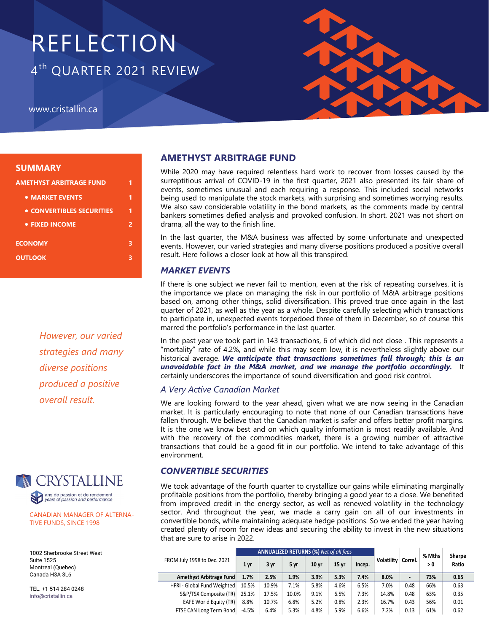# REFLECTION 4<sup>th</sup> QUARTER 2021 REVIEW

www.cristallin.ca



## **SUMMARY**

| AMETHYST ARBITRAGE FUND   |   |  |  |  |  |  |
|---------------------------|---|--|--|--|--|--|
| • MARKET EVENTS           | 1 |  |  |  |  |  |
| • CONVERTIBLES SECURITIES | 1 |  |  |  |  |  |
| • FIXED INCOME            | 2 |  |  |  |  |  |
| <b>ECONOMY</b>            | з |  |  |  |  |  |
| <b>OUTLOOK</b>            |   |  |  |  |  |  |
|                           |   |  |  |  |  |  |

*However, our varied strategies and many diverse positions produced a positive overall result.*



CANADIAN MANAGER OF ALTERNA-TIVE FUNDS, SINCE 1998

1002 Sherbrooke Street West Suite 1525 Montreal (Quebec) Canada H3A 3L6

TEL. +1 514 284 0248 info@cristallin.ca

# **AMETHYST ARBITRAGE FUND**

While 2020 may have required relentless hard work to recover from losses caused by the surreptitious arrival of COVID-19 in the first quarter, 2021 also presented its fair share of events, sometimes unusual and each requiring a response. This included social networks being used to manipulate the stock markets, with surprising and sometimes worrying results. We also saw considerable volatility in the bond markets, as the comments made by central bankers sometimes defied analysis and provoked confusion. In short, 2021 was not short on drama, all the way to the finish line.

In the last quarter, the M&A business was affected by some unfortunate and unexpected events. However, our varied strategies and many diverse positions produced a positive overall result. Here follows a closer look at how all this transpired.

## *MARKET EVENTS*

If there is one subject we never fail to mention, even at the risk of repeating ourselves, it is the importance we place on managing the risk in our portfolio of M&A arbitrage positions based on, among other things, solid diversification. This proved true once again in the last quarter of 2021, as well as the year as a whole. Despite carefully selecting which transactions to participate in, unexpected events torpedoed three of them in December, so of course this marred the portfolio's performance in the last quarter.

In the past year we took part in 143 transactions, 6 of which did not close . This represents a "mortality" rate of 4.2%, and while this may seem low, it is nevertheless slightly above our historical average. *We anticipate that transactions sometimes fall through; this is an unavoidable fact in the M&A market, and we manage the portfolio accordingly.* It certainly underscores the importance of sound diversification and good risk control.

# *A Very Active Canadian Market*

We are looking forward to the year ahead, given what we are now seeing in the Canadian market. It is particularly encouraging to note that none of our Canadian transactions have fallen through. We believe that the Canadian market is safer and offers better profit margins. It is the one we know best and on which quality information is most readily available. And with the recovery of the commodities market, there is a growing number of attractive transactions that could be a good fit in our portfolio. We intend to take advantage of this environment.

## *CONVERTIBLE SECURITIES*

We took advantage of the fourth quarter to crystallize our gains while eliminating marginally profitable positions from the portfolio, thereby bringing a good year to a close. We benefited from improved credit in the energy sector, as well as renewed volatility in the technology sector. And throughout the year, we made a carry gain on all of our investments in convertible bonds, while maintaining adequate hedge positions. So we ended the year having created plenty of room for new ideas and securing the ability to invest in the new situations that are sure to arise in 2022.

|                               | ANNUALIZED RETURNS (%) Net of all fees |       |       |                  |       |        |            | % Mths         | Sharpe |       |
|-------------------------------|----------------------------------------|-------|-------|------------------|-------|--------|------------|----------------|--------|-------|
| FROM July 1998 to Dec. 2021   | 1 yr                                   | 3 yr  | 5 yr  | 10 <sub>yr</sub> | 15 vr | Incep. | Volatility | Correl.        | > 0    | Ratio |
| Amethyst Arbitrage Fund       | 1.7%                                   | 2.5%  | 1.9%  | 3.9%             | 5.3%  | 7.4%   | 8.0%       | $\blacksquare$ | 73%    | 0.65  |
| HFRI - Global Fund Weighted   | 10.5%                                  | 10.9% | 7.1%  | 5.8%             | 4.6%  | 6.5%   | 7.0%       | 0.48           | 66%    | 0.63  |
| S&P/TSX Composite (TR)        | 25.1%                                  | 17.5% | 10.0% | 9.1%             | 6.5%  | 7.3%   | 14.8%      | 0.48           | 63%    | 0.35  |
| <b>EAFE World Equity (TR)</b> | 8.8%                                   | 10.7% | 6.8%  | 5.2%             | 0.8%  | 2.3%   | 16.7%      | 0.43           | 56%    | 0.01  |
| FTSE CAN Long Term Bond       | $-4.5%$                                | 6.4%  | 5.3%  | 4.8%             | 5.9%  | 6.6%   | 7.2%       | 0.13           | 61%    | 0.62  |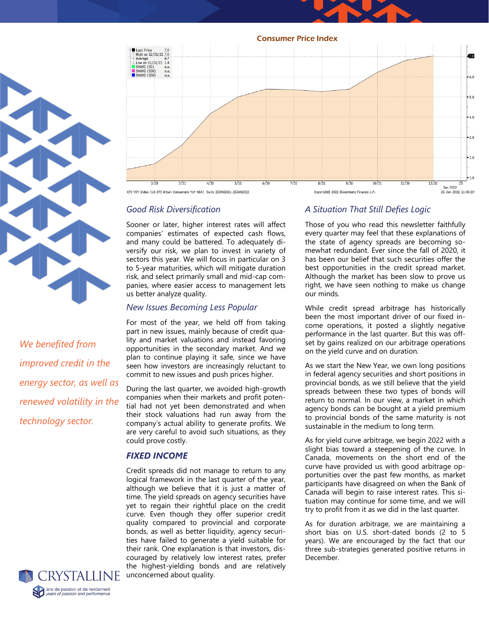Consumer Price Index



*We benefited from improved credit in the energy sector, as well as renewed volatility in the technology sector.* 



## *Good Risk Diversification*

Sooner or later, higher interest rates will affect companies' estimates of expected cash flows, and many could be battered. To adequately diversify our risk, we plan to invest in variety of sectors this year. We will focus in particular on 3 to 5-year maturities, which will mitigate duration risk, and select primarily small and mid-cap companies, where easier access to management lets us better analyze quality.

#### *New Issues Becoming Less Popular*

For most of the year, we held off from taking part in new issues, mainly because of credit quality and market valuations and instead favoring opportunities in the secondary market. And we plan to continue playing it safe, since we have seen how investors are increasingly reluctant to commit to new issues and push prices higher.

During the last quarter, we avoided high-growth companies when their markets and profit potential had not yet been demonstrated and when their stock valuations had run away from the company's actual ability to generate profits. We are very careful to avoid such situations, as they could prove costly.

#### *FIXED INCOME*

Credit spreads did not manage to return to any logical framework in the last quarter of the year, although we believe that it is just a matter of time. The yield spreads on agency securities have yet to regain their rightful place on the credit curve. Even though they offer superior credit quality compared to provincial and corporate bonds, as well as better liquidity, agency securities have failed to generate a yield suitable for their rank. One explanation is that investors, discouraged by relatively low interest rates, prefer the highest-yielding bonds and are relatively unconcerned about quality.

## *A Situation That Still Defies Logic*

Those of you who read this newsletter faithfully every quarter may feel that these explanations of the state of agency spreads are becoming somewhat redundant. Ever since the fall of 2020, it has been our belief that such securities offer the best opportunities in the credit spread market. Although the market has been slow to prove us right, we have seen nothing to make us change our minds.

While credit spread arbitrage has historically been the most important driver of our fixed income operations, it posted a slightly negative performance in the last quarter. But this was offset by gains realized on our arbitrage operations on the yield curve and on duration.

As we start the New Year, we own long positions in federal agency securities and short positions in provincial bonds, as we still believe that the yield spreads between these two types of bonds will return to normal. In our view, a market in which agency bonds can be bought at a yield premium to provincial bonds of the same maturity is not sustainable in the medium to long term.

As for yield curve arbitrage, we begin 2022 with a slight bias toward a steepening of the curve. In Canada, movements on the short end of the curve have provided us with good arbitrage opportunities over the past few months, as market participants have disagreed on when the Bank of Canada will begin to raise interest rates. This situation may continue for some time, and we will try to profit from it as we did in the last quarter.

As for duration arbitrage, we are maintaining a short bias on U.S. short-dated bonds (2 to 5 years). We are encouraged by the fact that our three sub-strategies generated positive returns in December.